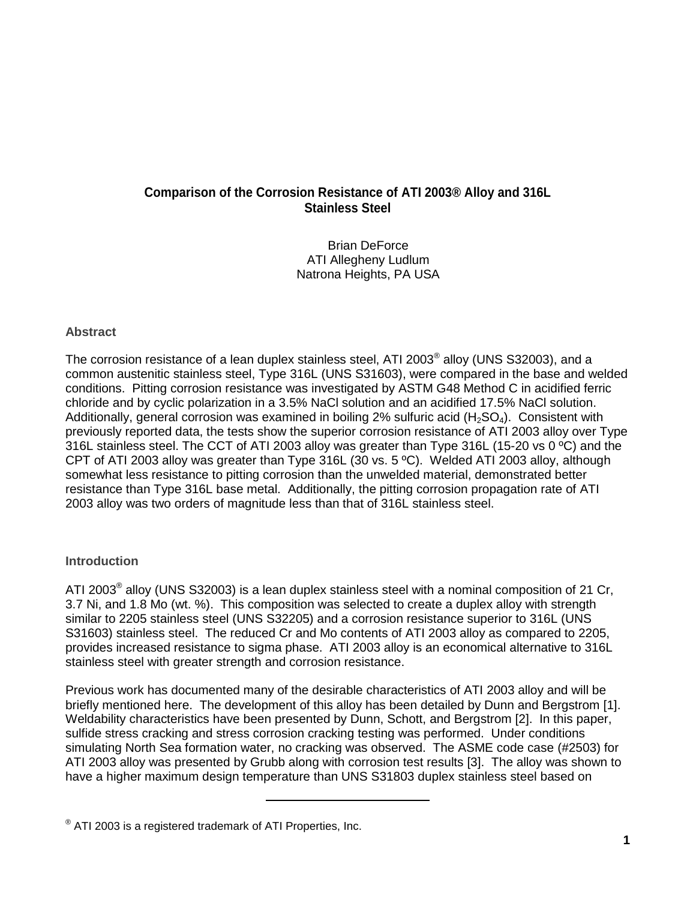### **Comparison of the Corrosion Resistance of ATI 2003® Alloy and 316L Stainless Steel**

Brian DeForce ATI Allegheny Ludlum Natrona Heights, PA USA

#### **Abstract**

The corrosion resistance of a lean duplex stainless steel, ATI 2003 $^{\circ}$  alloy (UNS S32003), and a common austenitic stainless steel, Type 316L (UNS S31603), were compared in the base and welded conditions. Pitting corrosion resistance was investigated by ASTM G48 Method C in acidified ferric chloride and by cyclic polarization in a 3.5% NaCl solution and an acidified 17.5% NaCl solution. Additionally, general corrosion was examined in boiling 2% sulfuric acid  $(H_2SO_4)$ . Consistent with previously reported data, the tests show the superior corrosion resistance of ATI 2003 alloy over Type 316L stainless steel. The CCT of ATI 2003 alloy was greater than Type 316L (15-20 vs 0 ºC) and the CPT of ATI 2003 alloy was greater than Type 316L (30 vs. 5 ºC). Welded ATI 2003 alloy, although somewhat less resistance to pitting corrosion than the unwelded material, demonstrated better resistance than Type 316L base metal. Additionally, the pitting corrosion propagation rate of ATI 2003 alloy was two orders of magnitude less than that of 316L stainless steel.

#### **Introduction**

ATI 2003<sup>®</sup> alloy (UNS S32003) is a lean duplex stainless steel with a nominal composition of 21 Cr, 3.7 Ni, and 1.8 Mo (wt. %). This composition was selected to create a duplex alloy with strength similar to 2205 stainless steel (UNS S32205) and a corrosion resistance superior to 316L (UNS S31603) stainless steel. The reduced Cr and Mo contents of ATI 2003 alloy as compared to 2205, provides increased resistance to sigma phase. ATI 2003 alloy is an economical alternative to 316L stainless steel with greater strength and corrosion resistance.

Previous work has documented many of the desirable characteristics of ATI 2003 alloy and will be briefly mentioned here. The development of this alloy has been detailed by Dunn and Bergstrom [1]. Weldability characteristics have been presented by Dunn, Schott, and Bergstrom [2]. In this paper, sulfide stress cracking and stress corrosion cracking testing was performed. Under conditions simulating North Sea formation water, no cracking was observed. The ASME code case (#2503) for ATI 2003 alloy was presented by Grubb along with corrosion test results [3]. The alloy was shown to have a higher maximum design temperature than UNS S31803 duplex stainless steel based on

l

 $^{\circledast}$  ATI 2003 is a registered trademark of ATI Properties, Inc.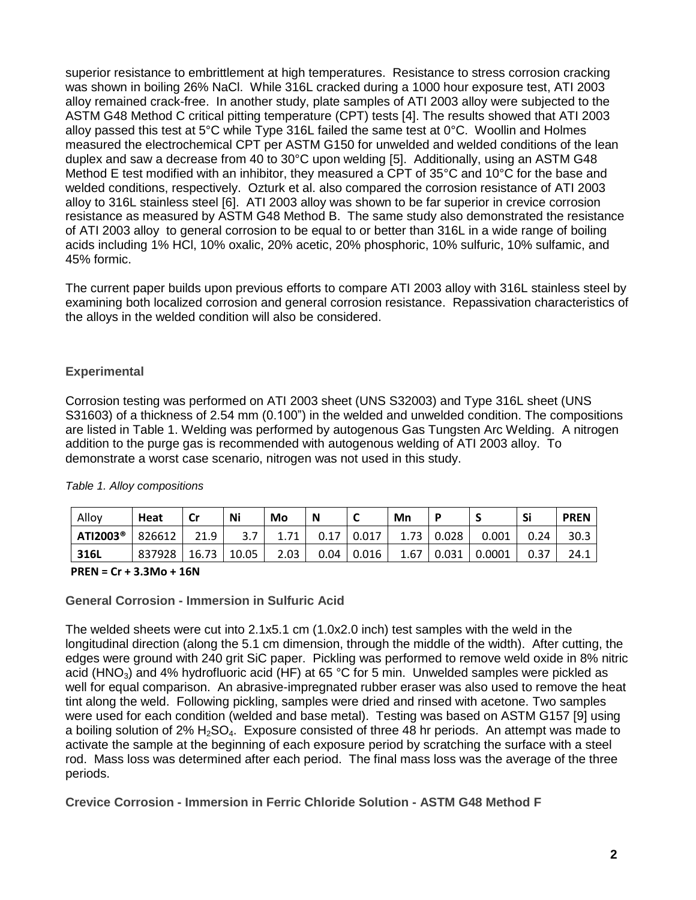superior resistance to embrittlement at high temperatures. Resistance to stress corrosion cracking was shown in boiling 26% NaCl. While 316L cracked during a 1000 hour exposure test, ATI 2003 alloy remained crack-free. In another study, plate samples of ATI 2003 alloy were subjected to the ASTM G48 Method C critical pitting temperature (CPT) tests [4]. The results showed that ATI 2003 alloy passed this test at 5°C while Type 316L failed the same test at 0°C. Woollin and Holmes measured the electrochemical CPT per ASTM G150 for unwelded and welded conditions of the lean duplex and saw a decrease from 40 to 30°C upon welding [5]. Additionally, using an ASTM G48 Method E test modified with an inhibitor, they measured a CPT of 35°C and 10°C for the base and welded conditions, respectively. Ozturk et al. also compared the corrosion resistance of ATI 2003 alloy to 316L stainless steel [6]. ATI 2003 alloy was shown to be far superior in crevice corrosion resistance as measured by ASTM G48 Method B. The same study also demonstrated the resistance of ATI 2003 alloy to general corrosion to be equal to or better than 316L in a wide range of boiling acids including 1% HCl, 10% oxalic, 20% acetic, 20% phosphoric, 10% sulfuric, 10% sulfamic, and 45% formic.

The current paper builds upon previous efforts to compare ATI 2003 alloy with 316L stainless steel by examining both localized corrosion and general corrosion resistance. Repassivation characteristics of the alloys in the welded condition will also be considered.

#### **Experimental**

Corrosion testing was performed on ATI 2003 sheet (UNS S32003) and Type 316L sheet (UNS S31603) of a thickness of 2.54 mm (0.100") in the welded and unwelded condition. The compositions are listed in Table 1. Welding was performed by autogenous Gas Tungsten Arc Welding. A nitrogen addition to the purge gas is recommended with autogenous welding of ATI 2003 alloy. To demonstrate a worst case scenario, nitrogen was not used in this study.

| Alloy                | Heat   | Cr    | Ni    | Mo   | N    | ∼     | Mn   |       |        | Si   | <b>PREN</b> |
|----------------------|--------|-------|-------|------|------|-------|------|-------|--------|------|-------------|
| ATI2003 <sup>®</sup> | 826612 | 21.9  | 3.7   |      | 0.17 | 0.017 | 1.73 | 0.028 | 0.001  | 0.24 | 30.3        |
| 316L                 | 837928 | 16.73 | 10.05 | 2.03 | 0.04 | 0.016 | 1.67 | 0.031 | 0.0001 | 0.37 | 24.1        |

#### *Table 1. Alloy compositions*

#### **PREN = Cr + 3.3Mo + 16N**

#### **General Corrosion - Immersion in Sulfuric Acid**

The welded sheets were cut into 2.1x5.1 cm (1.0x2.0 inch) test samples with the weld in the longitudinal direction (along the 5.1 cm dimension, through the middle of the width). After cutting, the edges were ground with 240 grit SiC paper. Pickling was performed to remove weld oxide in 8% nitric acid (HNO<sub>3</sub>) and 4% hydrofluoric acid (HF) at 65 °C for 5 min. Unwelded samples were pickled as well for equal comparison. An abrasive-impregnated rubber eraser was also used to remove the heat tint along the weld. Following pickling, samples were dried and rinsed with acetone. Two samples were used for each condition (welded and base metal). Testing was based on ASTM G157 [9] using a boiling solution of  $2\%$  H<sub>2</sub>SO<sub>4</sub>. Exposure consisted of three 48 hr periods. An attempt was made to activate the sample at the beginning of each exposure period by scratching the surface with a steel rod. Mass loss was determined after each period. The final mass loss was the average of the three periods.

**Crevice Corrosion - Immersion in Ferric Chloride Solution - ASTM G48 Method F**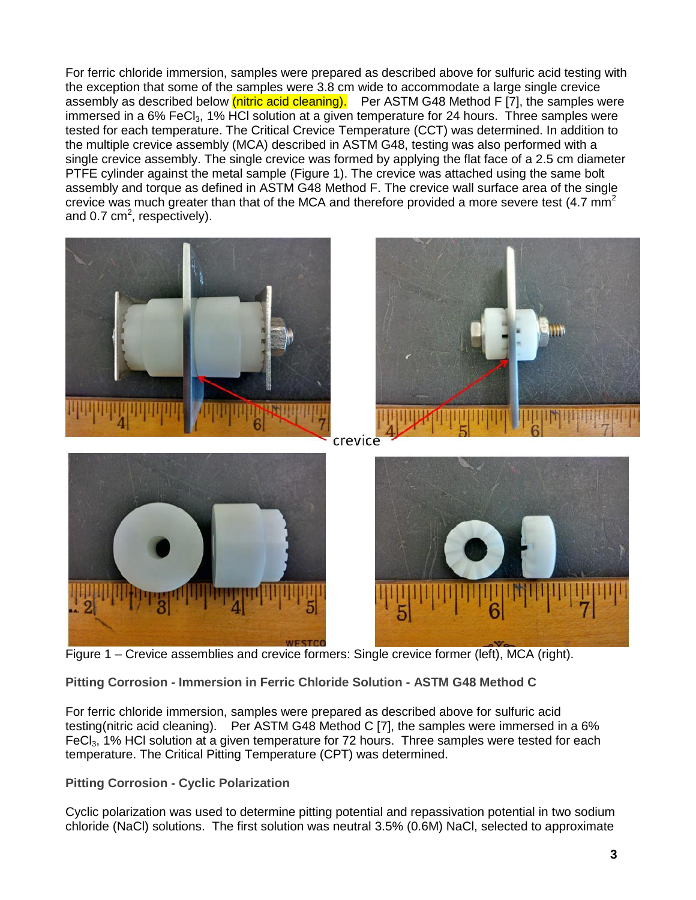For ferric chloride immersion, samples were prepared as described above for sulfuric acid testing with the exception that some of the samples were 3.8 cm wide to accommodate a large single crevice assembly as described below (nitric acid cleaning). Per ASTM G48 Method F [7], the samples were immersed in a 6% FeCl<sub>3</sub>, 1% HCl solution at a given temperature for 24 hours. Three samples were tested for each temperature. The Critical Crevice Temperature (CCT) was determined. In addition to the multiple crevice assembly (MCA) described in ASTM G48, testing was also performed with a single crevice assembly. The single crevice was formed by applying the flat face of a 2.5 cm diameter PTFE cylinder against the metal sample (Figure 1). The crevice was attached using the same bolt assembly and torque as defined in ASTM G48 Method F. The crevice wall surface area of the single crevice was much greater than that of the MCA and therefore provided a more severe test  $(4.7 \text{ mm}^2)$ and 0.7  $cm<sup>2</sup>$ , respectively).



Figure 1 – Crevice assemblies and crevice formers: Single crevice former (left), MCA (right).

**Pitting Corrosion - Immersion in Ferric Chloride Solution - ASTM G48 Method C** 

For ferric chloride immersion, samples were prepared as described above for sulfuric acid testing(nitric acid cleaning). Per ASTM G48 Method C [7], the samples were immersed in a 6% FeCl<sub>3</sub>, 1% HCl solution at a given temperature for 72 hours. Three samples were tested for each temperature. The Critical Pitting Temperature (CPT) was determined.

**Pitting Corrosion - Cyclic Polarization**

Cyclic polarization was used to determine pitting potential and repassivation potential in two sodium chloride (NaCl) solutions. The first solution was neutral 3.5% (0.6M) NaCl, selected to approximate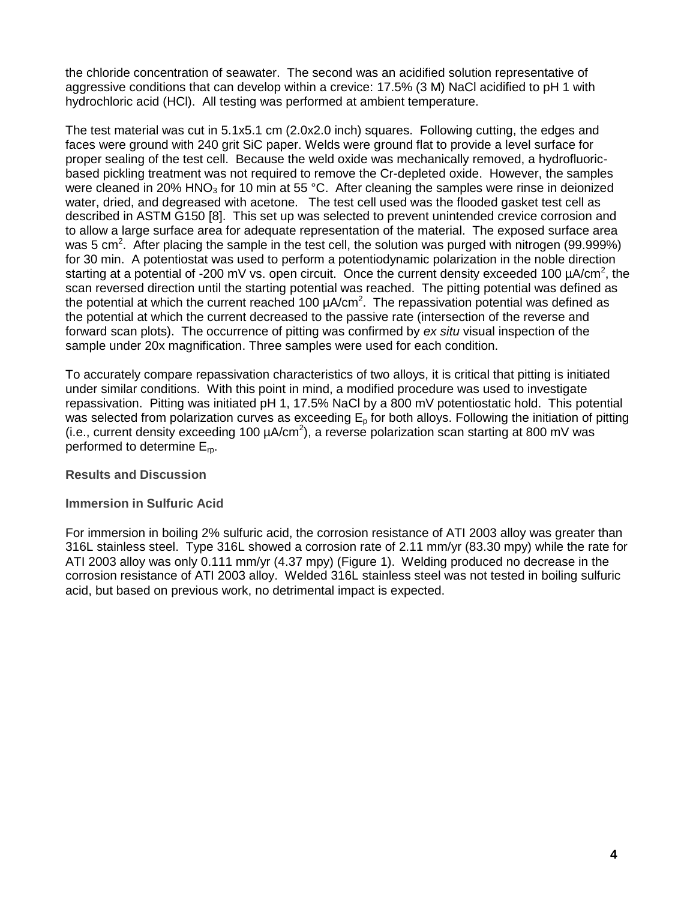the chloride concentration of seawater. The second was an acidified solution representative of aggressive conditions that can develop within a crevice: 17.5% (3 M) NaCl acidified to pH 1 with hydrochloric acid (HCl). All testing was performed at ambient temperature.

The test material was cut in 5.1x5.1 cm (2.0x2.0 inch) squares. Following cutting, the edges and faces were ground with 240 grit SiC paper. Welds were ground flat to provide a level surface for proper sealing of the test cell. Because the weld oxide was mechanically removed, a hydrofluoricbased pickling treatment was not required to remove the Cr-depleted oxide. However, the samples were cleaned in 20% HNO<sub>3</sub> for 10 min at 55 °C. After cleaning the samples were rinse in deionized water, dried, and degreased with acetone. The test cell used was the flooded gasket test cell as described in ASTM G150 [8]. This set up was selected to prevent unintended crevice corrosion and to allow a large surface area for adequate representation of the material. The exposed surface area was 5 cm<sup>2</sup>. After placing the sample in the test cell, the solution was purged with nitrogen (99.999%) for 30 min. A potentiostat was used to perform a potentiodynamic polarization in the noble direction starting at a potential of -200 mV vs. open circuit. Once the current density exceeded 100  $\mu$ A/cm<sup>2</sup>, the scan reversed direction until the starting potential was reached. The pitting potential was defined as the potential at which the current reached 100  $\mu$ A/cm<sup>2</sup>. The repassivation potential was defined as the potential at which the current decreased to the passive rate (intersection of the reverse and forward scan plots). The occurrence of pitting was confirmed by *ex situ* visual inspection of the sample under 20x magnification. Three samples were used for each condition.

To accurately compare repassivation characteristics of two alloys, it is critical that pitting is initiated under similar conditions. With this point in mind, a modified procedure was used to investigate repassivation. Pitting was initiated pH 1, 17.5% NaCl by a 800 mV potentiostatic hold. This potential was selected from polarization curves as exceeding  $E<sub>o</sub>$  for both alloys. Following the initiation of pitting (i.e., current density exceeding 100  $\mu A/cm^2$ ), a reverse polarization scan starting at 800 mV was performed to determine  $E_{\text{m}}$ .

#### **Results and Discussion**

#### **Immersion in Sulfuric Acid**

For immersion in boiling 2% sulfuric acid, the corrosion resistance of ATI 2003 alloy was greater than 316L stainless steel. Type 316L showed a corrosion rate of 2.11 mm/yr (83.30 mpy) while the rate for ATI 2003 alloy was only 0.111 mm/yr (4.37 mpy) (Figure 1). Welding produced no decrease in the corrosion resistance of ATI 2003 alloy. Welded 316L stainless steel was not tested in boiling sulfuric acid, but based on previous work, no detrimental impact is expected.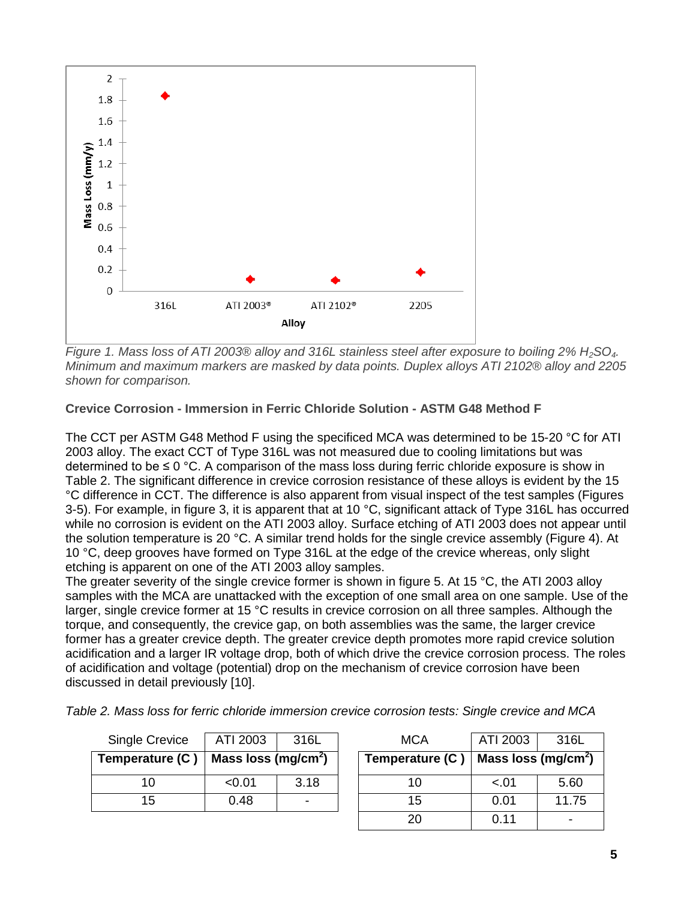

*Figure 1. Mass loss of ATI 2003® alloy and 316L stainless steel after exposure to boiling 2% H<sub>2</sub>SO<sub>4</sub>. Minimum and maximum markers are masked by data points. Duplex alloys ATI 2102® alloy and 2205 shown for comparison.*

#### **Crevice Corrosion - Immersion in Ferric Chloride Solution - ASTM G48 Method F**

The CCT per ASTM G48 Method F using the specificed MCA was determined to be 15-20 °C for ATI 2003 alloy. The exact CCT of Type 316L was not measured due to cooling limitations but was determined to be  $\leq 0$  °C. A comparison of the mass loss during ferric chloride exposure is show in Table 2. The significant difference in crevice corrosion resistance of these alloys is evident by the 15 °C difference in CCT. The difference is also apparent from visual inspect of the test samples (Figures 3-5). For example, in figure 3, it is apparent that at 10  $^{\circ}$ C, significant attack of Type 316L has occurred while no corrosion is evident on the ATI 2003 alloy. Surface etching of ATI 2003 does not appear until the solution temperature is 20 °C. A similar trend holds for the single crevice assembly (Figure 4). At 10 °C, deep grooves have formed on Type 316L at the edge of the crevice whereas, only slight etching is apparent on one of the ATI 2003 alloy samples.

The greater severity of the single crevice former is shown in figure 5. At 15 °C, the ATI 2003 alloy samples with the MCA are unattacked with the exception of one small area on one sample. Use of the larger, single crevice former at 15 °C results in crevice corrosion on all three samples. Although the torque, and consequently, the crevice gap, on both assemblies was the same, the larger crevice former has a greater crevice depth. The greater crevice depth promotes more rapid crevice solution acidification and a larger IR voltage drop, both of which drive the crevice corrosion process. The roles of acidification and voltage (potential) drop on the mechanism of crevice corrosion have been discussed in detail previously [10].

| <b>Single Crevice</b> | ATI 2003<br>316L                |      |  | <b>MCA</b>      | ATI 2003                        | 316L  |  |
|-----------------------|---------------------------------|------|--|-----------------|---------------------------------|-------|--|
| Temperature (C)       | Mass loss (mg/cm <sup>2</sup> ) |      |  | Temperature (C) | Mass loss (mg/cm <sup>2</sup> ) |       |  |
| 10                    | < 0.01                          | 3.18 |  |                 | $-.01$                          | 5.60  |  |
| 15                    | 0.48                            |      |  | 15              | 0.01                            | 11.75 |  |
|                       |                                 |      |  |                 | 0.11                            |       |  |

*Table 2. Mass loss for ferric chloride immersion crevice corrosion tests: Single crevice and MCA*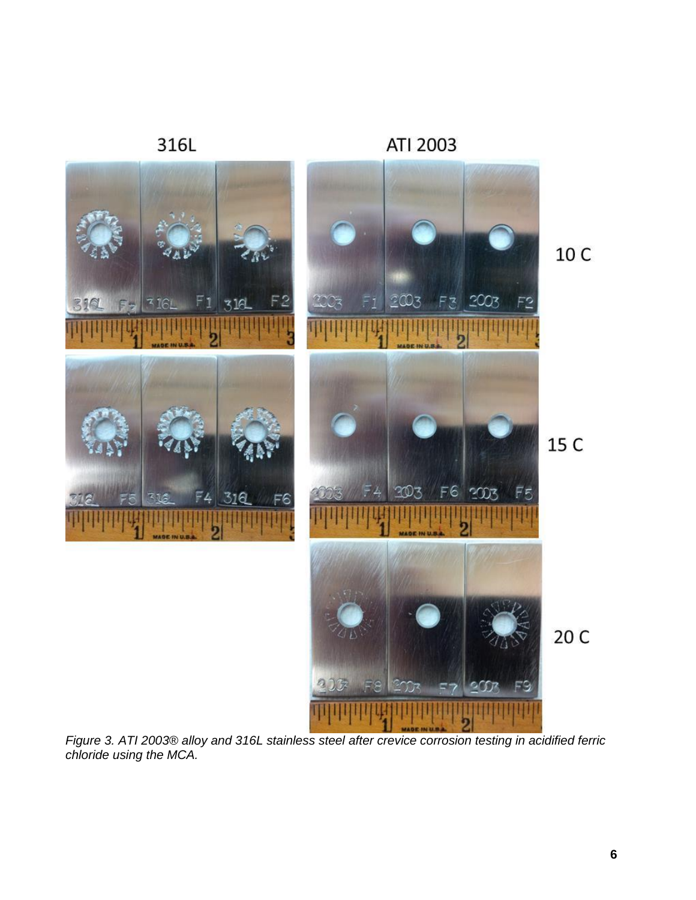

*Figure 3. ATI 2003® alloy and 316L stainless steel after crevice corrosion testing in acidified ferric chloride using the MCA.*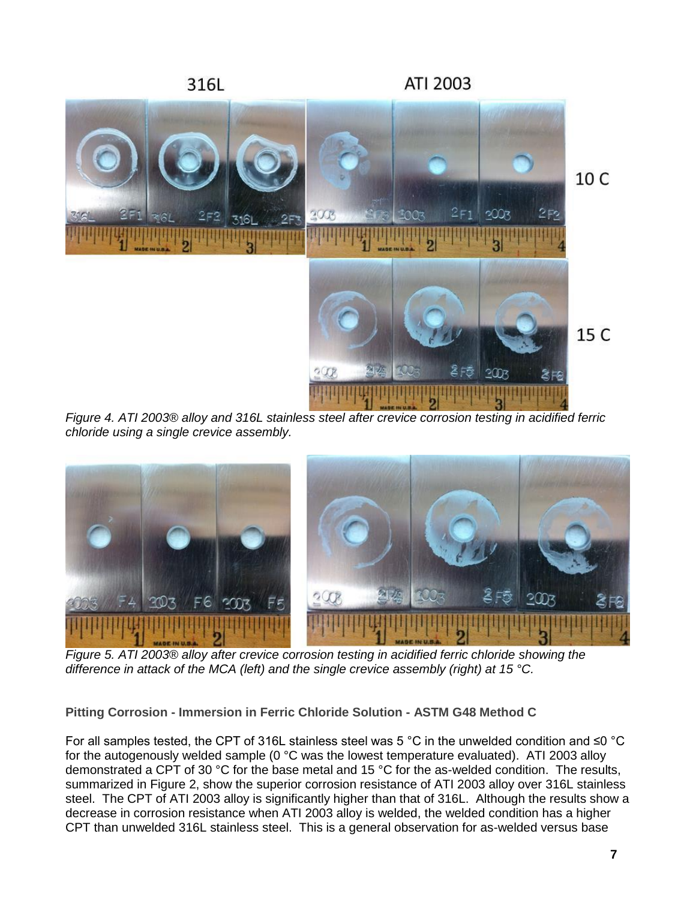

*Figure 4. ATI 2003® alloy and 316L stainless steel after crevice corrosion testing in acidified ferric chloride using a single crevice assembly.*



*Figure 5. ATI 2003® alloy after crevice corrosion testing in acidified ferric chloride showing the difference in attack of the MCA (left) and the single crevice assembly (right) at 15 °C.*

**Pitting Corrosion - Immersion in Ferric Chloride Solution - ASTM G48 Method C** 

For all samples tested, the CPT of 316L stainless steel was 5 °C in the unwelded condition and ≤0 °C for the autogenously welded sample (0 °C was the lowest temperature evaluated). ATI 2003 alloy demonstrated a CPT of 30 °C for the base metal and 15 °C for the as-welded condition. The results, summarized in Figure 2, show the superior corrosion resistance of ATI 2003 alloy over 316L stainless steel. The CPT of ATI 2003 alloy is significantly higher than that of 316L. Although the results show a decrease in corrosion resistance when ATI 2003 alloy is welded, the welded condition has a higher CPT than unwelded 316L stainless steel. This is a general observation for as-welded versus base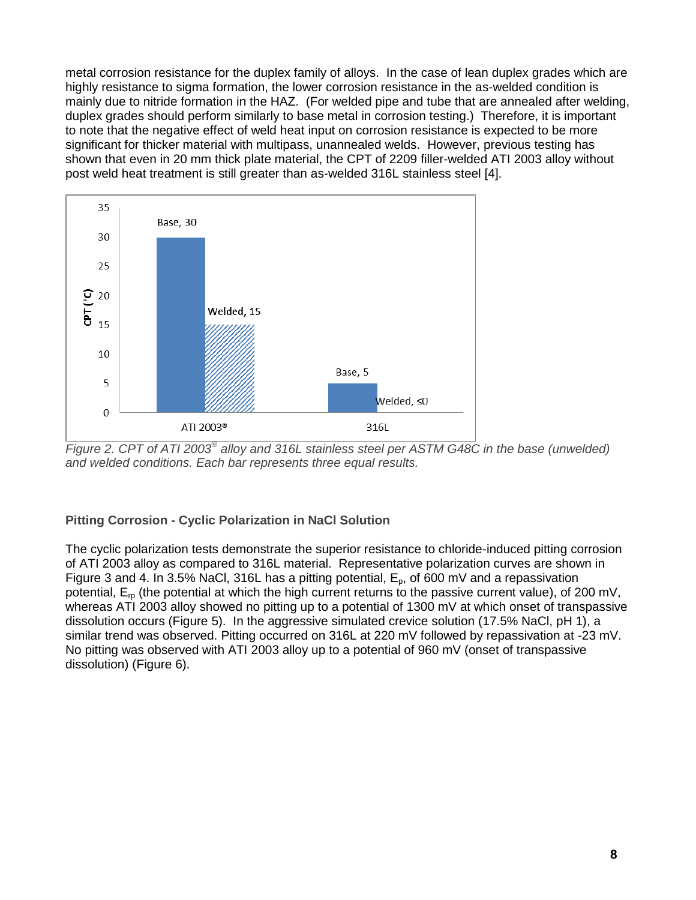metal corrosion resistance for the duplex family of alloys. In the case of lean duplex grades which are highly resistance to sigma formation, the lower corrosion resistance in the as-welded condition is mainly due to nitride formation in the HAZ. (For welded pipe and tube that are annealed after welding, duplex grades should perform similarly to base metal in corrosion testing.) Therefore, it is important to note that the negative effect of weld heat input on corrosion resistance is expected to be more significant for thicker material with multipass, unannealed welds. However, previous testing has shown that even in 20 mm thick plate material, the CPT of 2209 filler-welded ATI 2003 alloy without post weld heat treatment is still greater than as-welded 316L stainless steel [4].



*Figure 2. CPT of ATI 2003® alloy and 316L stainless steel per ASTM G48C in the base (unwelded) and welded conditions. Each bar represents three equal results.* 

#### **Pitting Corrosion - Cyclic Polarization in NaCl Solution**

The cyclic polarization tests demonstrate the superior resistance to chloride-induced pitting corrosion of ATI 2003 alloy as compared to 316L material. Representative polarization curves are shown in Figure 3 and 4. In 3.5% NaCl, 316L has a pitting potential,  $E_p$ , of 600 mV and a repassivation potential,  $E_{\text{p}}$  (the potential at which the high current returns to the passive current value), of 200 mV, whereas ATI 2003 alloy showed no pitting up to a potential of 1300 mV at which onset of transpassive dissolution occurs (Figure 5). In the aggressive simulated crevice solution (17.5% NaCl, pH 1), a similar trend was observed. Pitting occurred on 316L at 220 mV followed by repassivation at -23 mV. No pitting was observed with ATI 2003 alloy up to a potential of 960 mV (onset of transpassive dissolution) (Figure 6).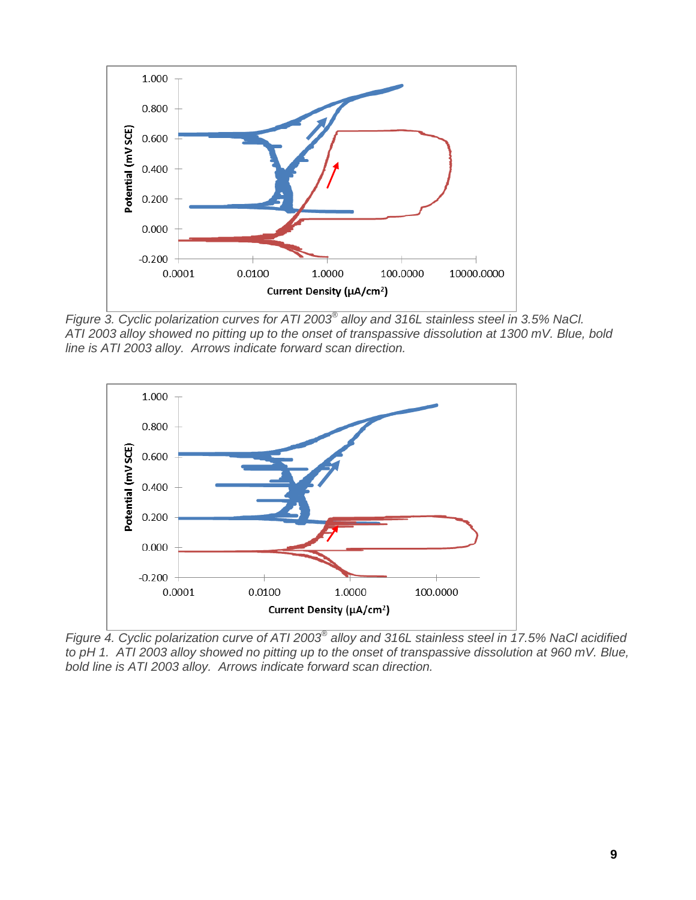

*Figure 3. Cyclic polarization curves for ATI 2003® alloy and 316L stainless steel in 3.5% NaCl. ATI 2003 alloy showed no pitting up to the onset of transpassive dissolution at 1300 mV. Blue, bold line is ATI 2003 alloy. Arrows indicate forward scan direction.*



*Figure 4. Cyclic polarization curve of ATI 2003® alloy and 316L stainless steel in 17.5% NaCl acidified to pH 1. ATI 2003 alloy showed no pitting up to the onset of transpassive dissolution at 960 mV. Blue, bold line is ATI 2003 alloy. Arrows indicate forward scan direction.*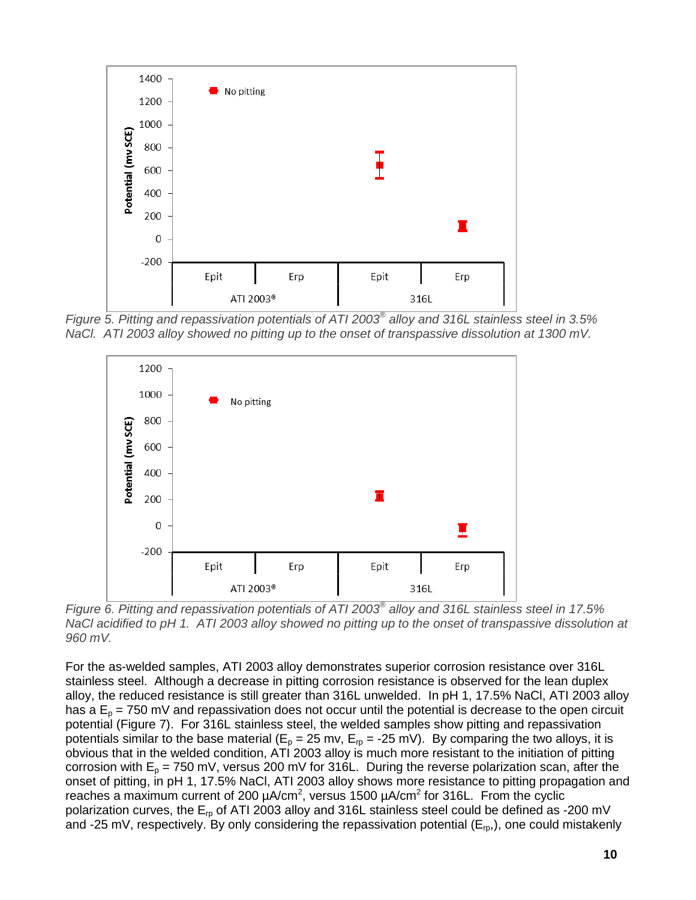

*Figure 5. Pitting and repassivation potentials of ATI 2003® alloy and 316L stainless steel in 3.5% NaCl. ATI 2003 alloy showed no pitting up to the onset of transpassive dissolution at 1300 mV.* 



*Figure 6. Pitting and repassivation potentials of ATI 2003® alloy and 316L stainless steel in 17.5% NaCl acidified to pH 1. ATI 2003 alloy showed no pitting up to the onset of transpassive dissolution at 960 mV.*

For the as-welded samples, ATI 2003 alloy demonstrates superior corrosion resistance over 316L stainless steel. Although a decrease in pitting corrosion resistance is observed for the lean duplex alloy, the reduced resistance is still greater than 316L unwelded. In pH 1, 17.5% NaCl, ATI 2003 alloy has a  $E_p$  = 750 mV and repassivation does not occur until the potential is decrease to the open circuit potential (Figure 7). For 316L stainless steel, the welded samples show pitting and repassivation potentials similar to the base material ( $E_p = 25$  mv,  $E_p = -25$  mV). By comparing the two alloys, it is obvious that in the welded condition, ATI 2003 alloy is much more resistant to the initiation of pitting corrosion with  $E_p = 750$  mV, versus 200 mV for 316L. During the reverse polarization scan, after the onset of pitting, in pH 1, 17.5% NaCl, ATI 2003 alloy shows more resistance to pitting propagation and reaches a maximum current of 200  $\mu$ A/cm<sup>2</sup>, versus 1500  $\mu$ A/cm<sup>2</sup> for 316L. From the cyclic polarization curves, the  $E_{rp}$  of ATI 2003 alloy and 316L stainless steel could be defined as -200 mV and -25 mV, respectively. By only considering the repassivation potential ( $E_{\text{ro}}$ ), one could mistakenly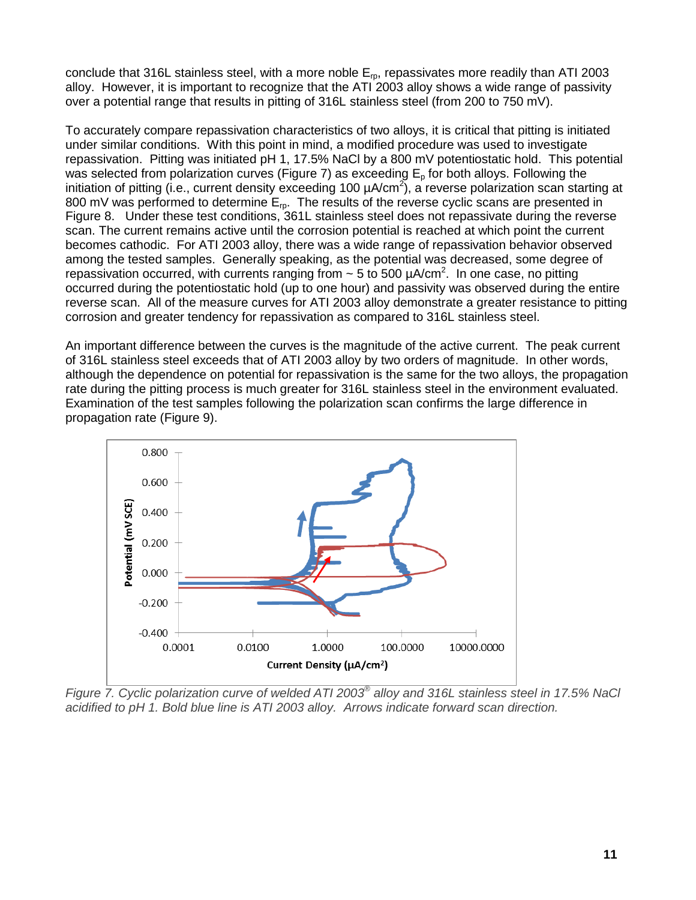conclude that 316L stainless steel, with a more noble  $E_{\text{p}}$ , repassivates more readily than ATI 2003 alloy. However, it is important to recognize that the ATI 2003 alloy shows a wide range of passivity over a potential range that results in pitting of 316L stainless steel (from 200 to 750 mV).

To accurately compare repassivation characteristics of two alloys, it is critical that pitting is initiated under similar conditions. With this point in mind, a modified procedure was used to investigate repassivation. Pitting was initiated pH 1, 17.5% NaCl by a 800 mV potentiostatic hold. This potential was selected from polarization curves (Figure 7) as exceeding  $E<sub>o</sub>$  for both alloys. Following the initiation of pitting (i.e., current density exceeding 100  $\mu$ A/cm<sup>2</sup>), a reverse polarization scan starting at 800 mV was performed to determine  $E_{\text{m}}$ . The results of the reverse cyclic scans are presented in Figure 8. Under these test conditions, 361L stainless steel does not repassivate during the reverse scan. The current remains active until the corrosion potential is reached at which point the current becomes cathodic. For ATI 2003 alloy, there was a wide range of repassivation behavior observed among the tested samples. Generally speaking, as the potential was decreased, some degree of repassivation occurred, with currents ranging from  $\sim$  5 to 500  $\mu$ A/cm<sup>2</sup>. In one case, no pitting occurred during the potentiostatic hold (up to one hour) and passivity was observed during the entire reverse scan. All of the measure curves for ATI 2003 alloy demonstrate a greater resistance to pitting corrosion and greater tendency for repassivation as compared to 316L stainless steel.

An important difference between the curves is the magnitude of the active current. The peak current of 316L stainless steel exceeds that of ATI 2003 alloy by two orders of magnitude. In other words, although the dependence on potential for repassivation is the same for the two alloys, the propagation rate during the pitting process is much greater for 316L stainless steel in the environment evaluated. Examination of the test samples following the polarization scan confirms the large difference in propagation rate (Figure 9).



*Figure 7. Cyclic polarization curve of welded ATI 2003® alloy and 316L stainless steel in 17.5% NaCl acidified to pH 1. Bold blue line is ATI 2003 alloy. Arrows indicate forward scan direction.*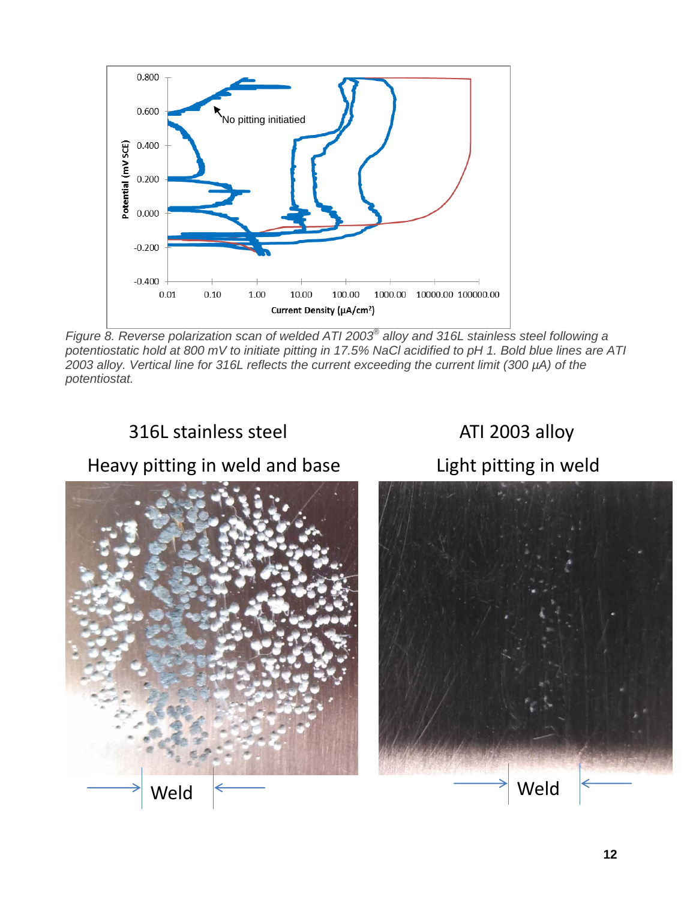

*Figure 8. Reverse polarization scan of welded ATI 2003® alloy and 316L stainless steel following a potentiostatic hold at 800 mV to initiate pitting in 17.5% NaCl acidified to pH 1. Bold blue lines are ATI 2003 alloy. Vertical line for 316L reflects the current exceeding the current limit (300 µA) of the potentiostat.*

# 316L stainless steel ATI 2003 alloy

## Heavy pitting in weld and base Light pitting in weld



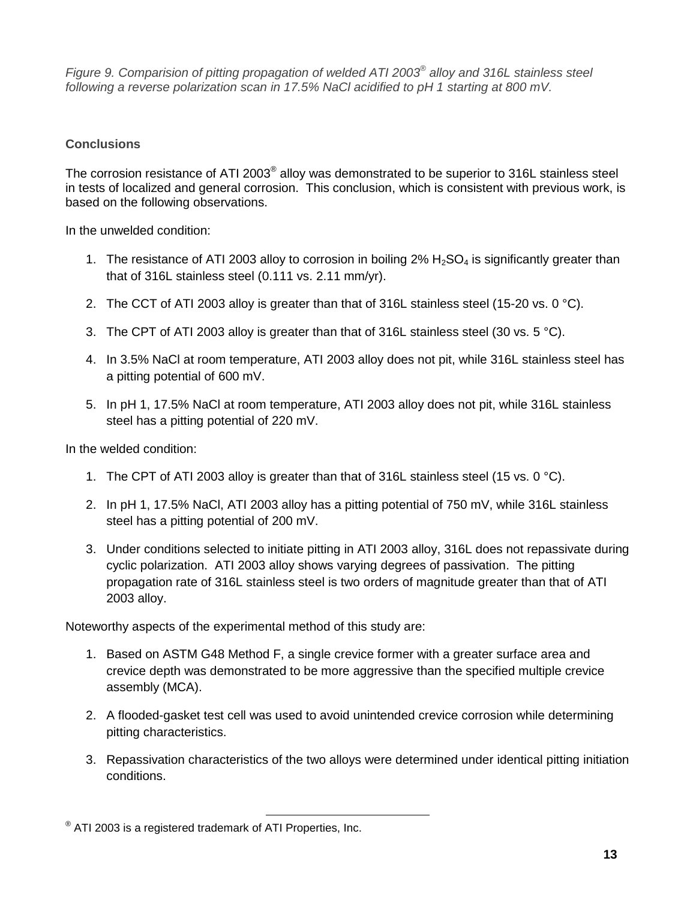*Figure 9. Comparision of pitting propagation of welded ATI 2003® alloy and 316L stainless steel following a reverse polarization scan in 17.5% NaCl acidified to pH 1 starting at 800 mV.* 

### **Conclusions**

The corrosion resistance of ATI 2003<sup>®</sup> alloy was demonstrated to be superior to 316L stainless steel in tests of localized and general corrosion. This conclusion, which is consistent with previous work, is based on the following observations.

In the unwelded condition:

- 1. The resistance of ATI 2003 alloy to corrosion in boiling 2%  $H_2SO_4$  is significantly greater than that of 316L stainless steel (0.111 vs. 2.11 mm/yr).
- 2. The CCT of ATI 2003 alloy is greater than that of 316L stainless steel (15-20 vs. 0  $^{\circ}$ C).
- 3. The CPT of ATI 2003 alloy is greater than that of 316L stainless steel (30 vs. 5 °C).
- 4. In 3.5% NaCl at room temperature, ATI 2003 alloy does not pit, while 316L stainless steel has a pitting potential of 600 mV.
- 5. In pH 1, 17.5% NaCl at room temperature, ATI 2003 alloy does not pit, while 316L stainless steel has a pitting potential of 220 mV.

In the welded condition:

- 1. The CPT of ATI 2003 alloy is greater than that of 316L stainless steel (15 vs. 0 °C).
- 2. In pH 1, 17.5% NaCl, ATI 2003 alloy has a pitting potential of 750 mV, while 316L stainless steel has a pitting potential of 200 mV.
- 3. Under conditions selected to initiate pitting in ATI 2003 alloy, 316L does not repassivate during cyclic polarization. ATI 2003 alloy shows varying degrees of passivation. The pitting propagation rate of 316L stainless steel is two orders of magnitude greater than that of ATI 2003 alloy.

Noteworthy aspects of the experimental method of this study are:

- 1. Based on ASTM G48 Method F, a single crevice former with a greater surface area and crevice depth was demonstrated to be more aggressive than the specified multiple crevice assembly (MCA).
- 2. A flooded-gasket test cell was used to avoid unintended crevice corrosion while determining pitting characteristics.
- 3. Repassivation characteristics of the two alloys were determined under identical pitting initiation conditions.

l  $^{\circledast}$  ATI 2003 is a registered trademark of ATI Properties, Inc.